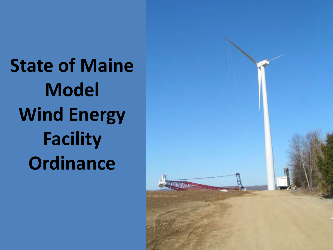**State of Maine Model Wind Energy Facility Ordinance**

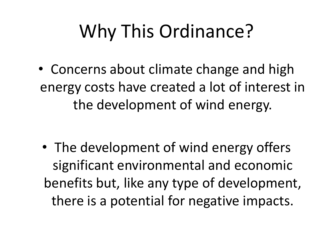## Why This Ordinance?

• Concerns about climate change and high energy costs have created a lot of interest in the development of wind energy.

• The development of wind energy offers significant environmental and economic benefits but, like any type of development, there is a potential for negative impacts.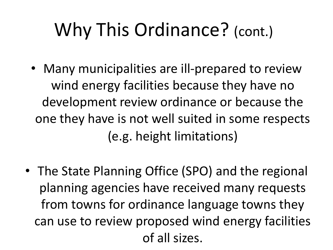## Why This Ordinance? (cont.)

- Many municipalities are ill-prepared to review wind energy facilities because they have no development review ordinance or because the one they have is not well suited in some respects (e.g. height limitations)
- The State Planning Office (SPO) and the regional planning agencies have received many requests from towns for ordinance language towns they can use to review proposed wind energy facilities of all sizes.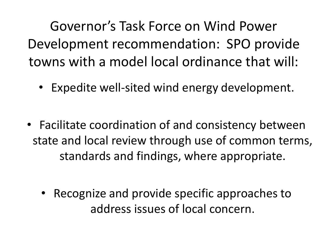Governor's Task Force on Wind Power Development recommendation: SPO provide towns with a model local ordinance that will:

- Expedite well-sited wind energy development.
- Facilitate coordination of and consistency between state and local review through use of common terms, standards and findings, where appropriate.
	- Recognize and provide specific approaches to address issues of local concern.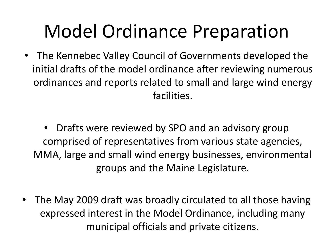## Model Ordinance Preparation

- The Kennebec Valley Council of Governments developed the initial drafts of the model ordinance after reviewing numerous ordinances and reports related to small and large wind energy facilities.
	- Drafts were reviewed by SPO and an advisory group comprised of representatives from various state agencies, MMA, large and small wind energy businesses, environmental groups and the Maine Legislature.
- The May 2009 draft was broadly circulated to all those having expressed interest in the Model Ordinance, including many municipal officials and private citizens.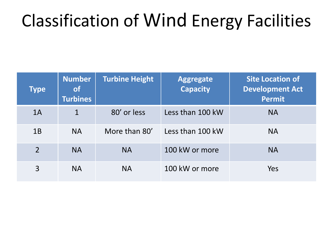### Classification of Wind Energy Facilities

| <b>Type</b>    | <b>Number</b><br><b>of</b><br><b>Turbines</b> | <b>Turbine Height</b> | <b>Aggregate</b><br><b>Capacity</b> | <b>Site Location of</b><br><b>Development Act</b><br><b>Permit</b> |
|----------------|-----------------------------------------------|-----------------------|-------------------------------------|--------------------------------------------------------------------|
| 1A             | $\mathbf{1}$                                  | 80' or less           | Less than 100 kW                    | <b>NA</b>                                                          |
| 1B             | <b>NA</b>                                     | More than 80'         | Less than 100 kW                    | <b>NA</b>                                                          |
| $\overline{2}$ | <b>NA</b>                                     | <b>NA</b>             | 100 kW or more                      | <b>NA</b>                                                          |
| 3              | <b>NA</b>                                     | <b>NA</b>             | 100 kW or more                      | Yes                                                                |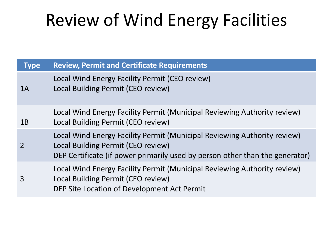### Review of Wind Energy Facilities

| <b>Type</b> | <b>Review, Permit and Certificate Requirements</b>                                                                                                                                             |
|-------------|------------------------------------------------------------------------------------------------------------------------------------------------------------------------------------------------|
| 1A          | Local Wind Energy Facility Permit (CEO review)<br>Local Building Permit (CEO review)                                                                                                           |
| 1B          | Local Wind Energy Facility Permit (Municipal Reviewing Authority review)<br>Local Building Permit (CEO review)                                                                                 |
| 2           | Local Wind Energy Facility Permit (Municipal Reviewing Authority review)<br>Local Building Permit (CEO review)<br>DEP Certificate (if power primarily used by person other than the generator) |
| 3           | Local Wind Energy Facility Permit (Municipal Reviewing Authority review)<br>Local Building Permit (CEO review)<br>DEP Site Location of Development Act Permit                                  |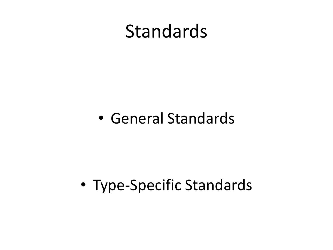### Standards

#### • General Standards

#### • Type-Specific Standards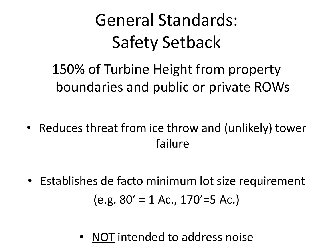## General Standards: Safety Setback

150% of Turbine Height from property boundaries and public or private ROWs

- Reduces threat from ice throw and (unlikely) tower failure
- Establishes de facto minimum lot size requirement  $(e.g. 80' = 1$  Ac.,  $170' = 5$  Ac.)
	- NOT intended to address noise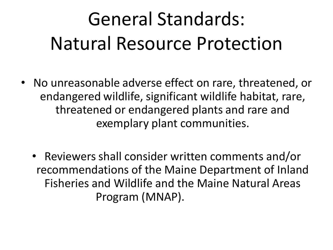# General Standards: Natural Resource Protection

- No unreasonable adverse effect on rare, threatened, or endangered wildlife, significant wildlife habitat, rare, threatened or endangered plants and rare and exemplary plant communities.
	- Reviewers shall consider written comments and/or recommendations of the Maine Department of Inland Fisheries and Wildlife and the Maine Natural Areas Program (MNAP).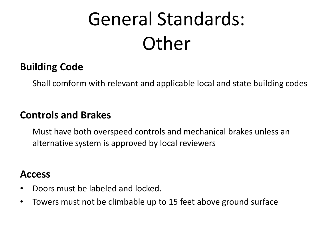# General Standards: Other

#### **Building Code**

Shall comform with relevant and applicable local and state building codes

#### **Controls and Brakes**

Must have both overspeed controls and mechanical brakes unless an alternative system is approved by local reviewers

#### **Access**

- Doors must be labeled and locked.
- Towers must not be climbable up to 15 feet above ground surface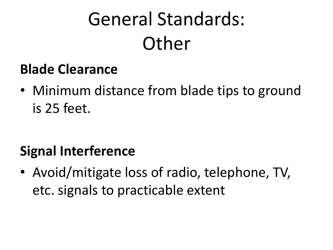# General Standards: **Other**

#### **Blade Clearance**

• Minimum distance from blade tips to ground is 25 feet.

#### **Signal Interference**

• Avoid/mitigate loss of radio, telephone, TV, etc. signals to practicable extent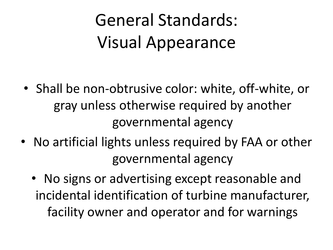## General Standards: Visual Appearance

- Shall be non-obtrusive color: white, off-white, or gray unless otherwise required by another governmental agency
- No artificial lights unless required by FAA or other governmental agency
	- No signs or advertising except reasonable and incidental identification of turbine manufacturer, facility owner and operator and for warnings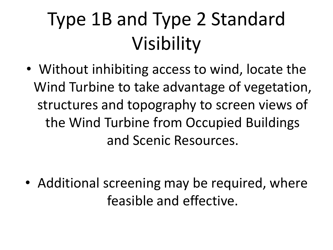# Type 1B and Type 2 Standard Visibility

• Without inhibiting access to wind, locate the Wind Turbine to take advantage of vegetation, structures and topography to screen views of the Wind Turbine from Occupied Buildings and Scenic Resources.

• Additional screening may be required, where feasible and effective.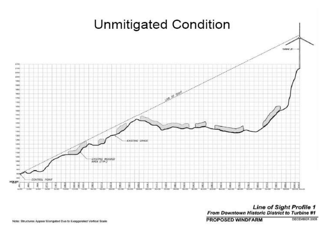

Line of Sight Profile 1<br>From Downtown Historic District to Turbine #1 **PROPOSED WINDFARM** DECEMBER 2005

Note: Structures Appear Elongated Due to Exaggerated Vertical Scale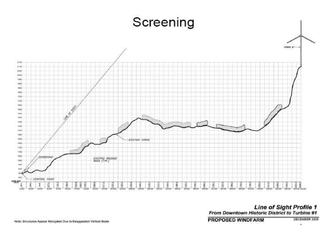

Line of Sight Profile 1<br>From Downtown Historic District to Turbine #1

**PROPOSED WINDFARM** 

DECEMBER 2005

×.

Note: Structures Appear Elongated Due to Exaggerated Vertical Scale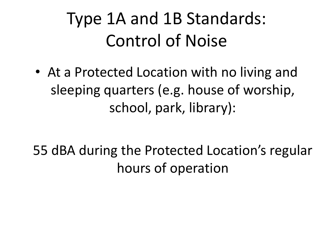• At a Protected Location with no living and sleeping quarters (e.g. house of worship, school, park, library):

55 dBA during the Protected Location's regular hours of operation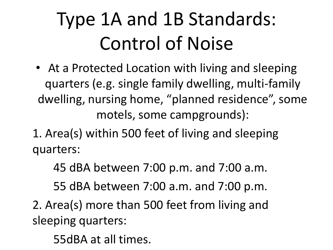- At a Protected Location with living and sleeping quarters (e.g. single family dwelling, multi-family dwelling, nursing home, "planned residence", some motels, some campgrounds):
- 1. Area(s) within 500 feet of living and sleeping quarters:

45 dBA between 7:00 p.m. and 7:00 a.m.

55 dBA between 7:00 a.m. and 7:00 p.m.

2. Area(s) more than 500 feet from living and sleeping quarters:

55dBA at all times.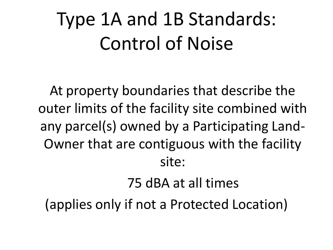At property boundaries that describe the outer limits of the facility site combined with any parcel(s) owned by a Participating Land-Owner that are contiguous with the facility site:

#### 75 dBA at all times

(applies only if not a Protected Location)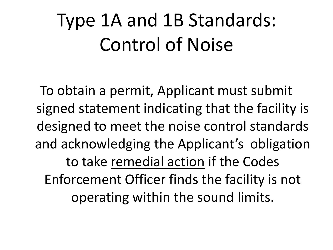To obtain a permit, Applicant must submit signed statement indicating that the facility is designed to meet the noise control standards and acknowledging the Applicant's obligation to take remedial action if the Codes Enforcement Officer finds the facility is not operating within the sound limits.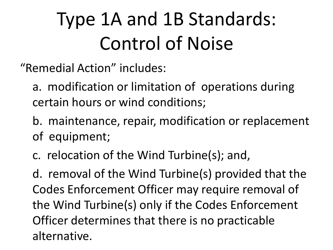"Remedial Action" includes:

- a. modification or limitation of operations during certain hours or wind conditions;
- b. maintenance, repair, modification or replacement of equipment;
- c. relocation of the Wind Turbine(s); and,

d. removal of the Wind Turbine(s) provided that the Codes Enforcement Officer may require removal of the Wind Turbine(s) only if the Codes Enforcement Officer determines that there is no practicable alternative.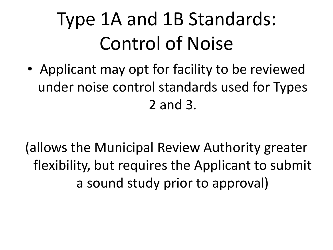• Applicant may opt for facility to be reviewed under noise control standards used for Types 2 and 3.

(allows the Municipal Review Authority greater flexibility, but requires the Applicant to submit a sound study prior to approval)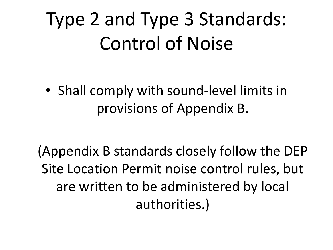## Type 2 and Type 3 Standards: Control of Noise

• Shall comply with sound-level limits in provisions of Appendix B.

(Appendix B standards closely follow the DEP Site Location Permit noise control rules, but are written to be administered by local authorities.)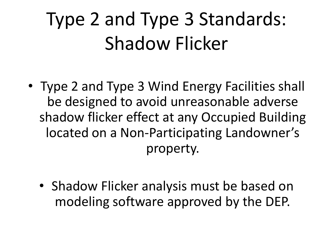## Type 2 and Type 3 Standards: Shadow Flicker

- Type 2 and Type 3 Wind Energy Facilities shall be designed to avoid unreasonable adverse shadow flicker effect at any Occupied Building located on a Non-Participating Landowner's property.
	- Shadow Flicker analysis must be based on modeling software approved by the DEP.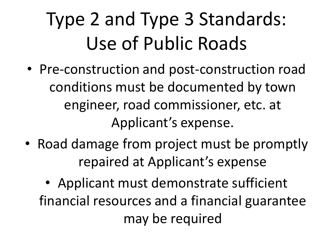## Type 2 and Type 3 Standards: Use of Public Roads

- Pre-construction and post-construction road conditions must be documented by town engineer, road commissioner, etc. at Applicant's expense.
- Road damage from project must be promptly repaired at Applicant's expense
	- Applicant must demonstrate sufficient financial resources and a financial guarantee may be required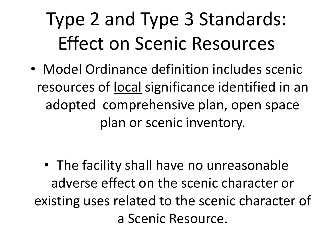# Type 2 and Type 3 Standards: Effect on Scenic Resources

• Model Ordinance definition includes scenic resources of local significance identified in an adopted comprehensive plan, open space plan or scenic inventory.

• The facility shall have no unreasonable adverse effect on the scenic character or existing uses related to the scenic character of a Scenic Resource.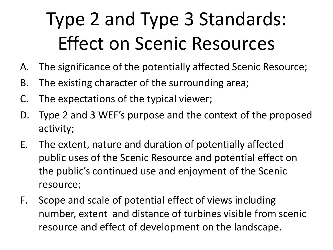## Type 2 and Type 3 Standards: Effect on Scenic Resources

- A. The significance of the potentially affected Scenic Resource;
- B. The existing character of the surrounding area;
- C. The expectations of the typical viewer;
- D. Type 2 and 3 WEF's purpose and the context of the proposed activity;
- E. The extent, nature and duration of potentially affected public uses of the Scenic Resource and potential effect on the public's continued use and enjoyment of the Scenic resource;
- F. Scope and scale of potential effect of views including number, extent and distance of turbines visible from scenic resource and effect of development on the landscape.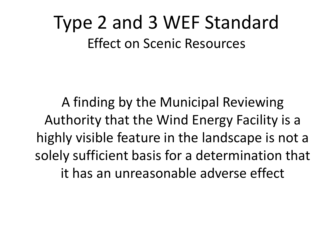### Type 2 and 3 WEF Standard Effect on Scenic Resources

A finding by the Municipal Reviewing Authority that the Wind Energy Facility is a highly visible feature in the landscape is not a solely sufficient basis for a determination that it has an unreasonable adverse effect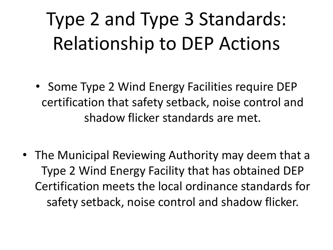## Type 2 and Type 3 Standards: Relationship to DEP Actions

- Some Type 2 Wind Energy Facilities require DEP certification that safety setback, noise control and shadow flicker standards are met.
- The Municipal Reviewing Authority may deem that a Type 2 Wind Energy Facility that has obtained DEP Certification meets the local ordinance standards for safety setback, noise control and shadow flicker.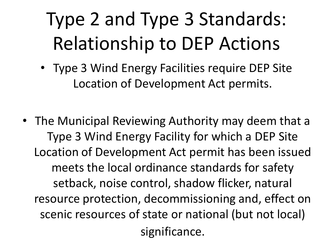# Type 2 and Type 3 Standards: Relationship to DEP Actions

- Type 3 Wind Energy Facilities require DEP Site Location of Development Act permits.
- The Municipal Reviewing Authority may deem that a Type 3 Wind Energy Facility for which a DEP Site Location of Development Act permit has been issued meets the local ordinance standards for safety setback, noise control, shadow flicker, natural resource protection, decommissioning and, effect on scenic resources of state or national (but not local) significance.